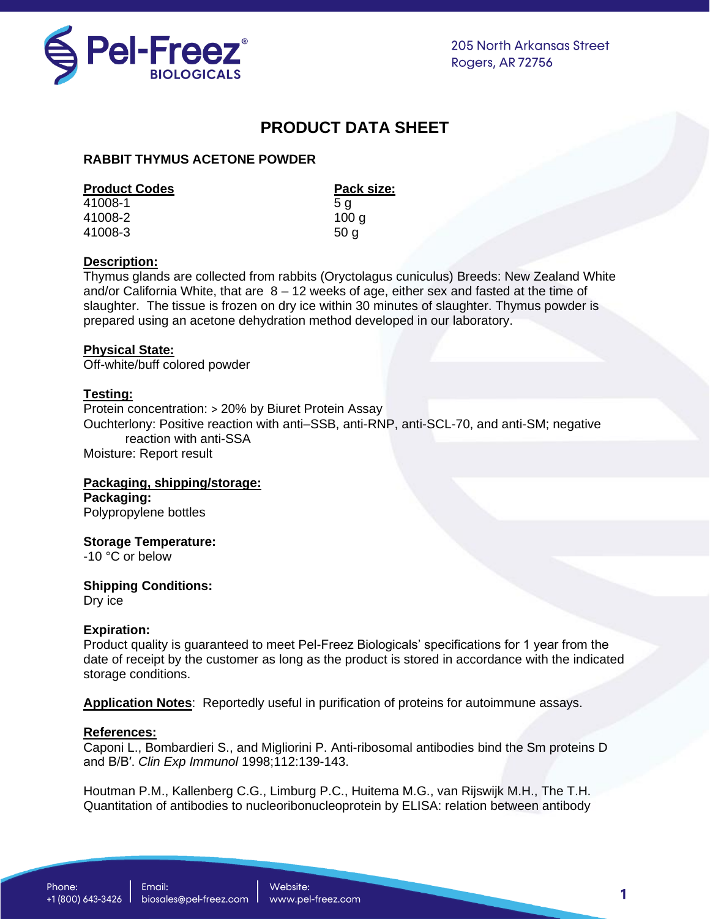

**205 North Arkansas Street** Rogers, AR 72756

# **PRODUCT DATA SHEET**

# **RABBIT THYMUS ACETONE POWDER**

## **Product Codes Product Codes Pack size:**

41008-1 5 g 41008-2 100 g 41008-3 50 g

# **Description:**

Thymus glands are collected from rabbits (Oryctolagus cuniculus) Breeds: New Zealand White and/or California White, that are  $8 - 12$  weeks of age, either sex and fasted at the time of slaughter. The tissue is frozen on dry ice within 30 minutes of slaughter. Thymus powder is prepared using an acetone dehydration method developed in our laboratory.

## **Physical State:**

Off-white/buff colored powder

## **Testing:**

Protein concentration: > 20% by Biuret Protein Assay Ouchterlony: Positive reaction with anti–SSB, anti-RNP, anti-SCL-70, and anti-SM; negative reaction with anti-SSA Moisture: Report result

#### **Packaging, shipping/storage: Packaging:**

Polypropylene bottles

# **Storage Temperature:**

-10 °C or below

# **Shipping Conditions:**

Dry ice

# **Expiration:**

Product quality is guaranteed to meet Pel-Freez Biologicals' specifications for 1 year from the date of receipt by the customer as long as the product is stored in accordance with the indicated storage conditions.

**Application Notes**: Reportedly useful in purification of proteins for autoimmune assays.

### **Ref***e***rences:**

Caponi L., Bombardieri S., and Migliorini P. Anti-ribosomal antibodies bind the Sm proteins D and B/B′. *Clin Exp Immunol* 1998;112:139-143.

Houtman P.M., Kallenberg C.G., Limburg P.C., Huitema M.G., van Rijswijk M.H., The T.H. Quantitation of antibodies to nucleoribonucleoprotein by ELISA: relation between antibody